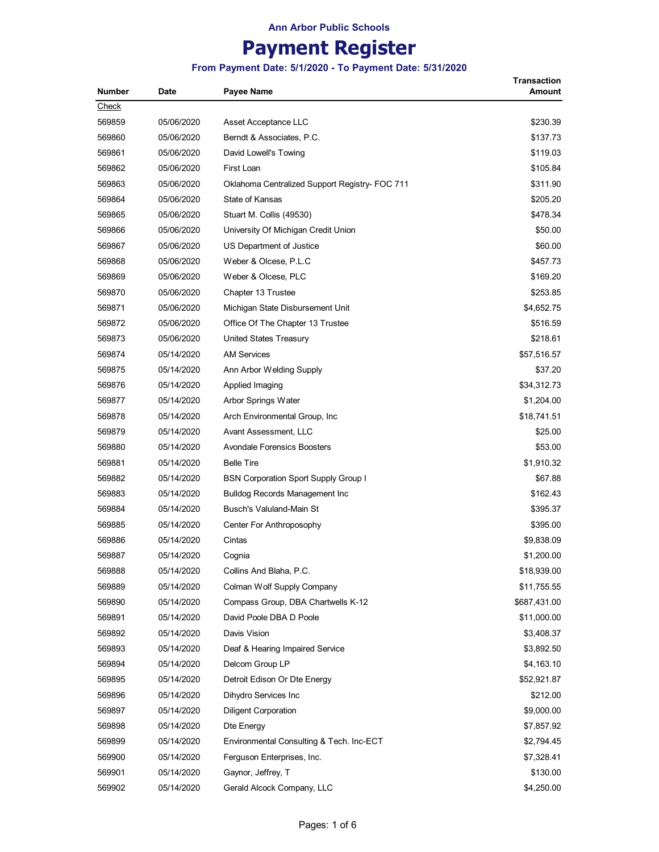## **Payment Register**

**From Payment Date: 5/1/2020 - To Payment Date: 5/31/2020**

**Transaction** 

| Number | Date       | <b>Payee Name</b>                              | <b>Amount</b> |
|--------|------------|------------------------------------------------|---------------|
| Check  |            |                                                |               |
| 569859 | 05/06/2020 | Asset Acceptance LLC                           | \$230.39      |
| 569860 | 05/06/2020 | Berndt & Associates, P.C.                      | \$137.73      |
| 569861 | 05/06/2020 | David Lowell's Towing                          | \$119.03      |
| 569862 | 05/06/2020 | First Loan                                     | \$105.84      |
| 569863 | 05/06/2020 | Oklahoma Centralized Support Registry- FOC 711 | \$311.90      |
| 569864 | 05/06/2020 | State of Kansas                                | \$205.20      |
| 569865 | 05/06/2020 | Stuart M. Collis (49530)                       | \$478.34      |
| 569866 | 05/06/2020 | University Of Michigan Credit Union            | \$50.00       |
| 569867 | 05/06/2020 | US Department of Justice                       | \$60.00       |
| 569868 | 05/06/2020 | Weber & Olcese, P.L.C                          | \$457.73      |
| 569869 | 05/06/2020 | Weber & Olcese, PLC                            | \$169.20      |
| 569870 | 05/06/2020 | Chapter 13 Trustee                             | \$253.85      |
| 569871 | 05/06/2020 | Michigan State Disbursement Unit               | \$4,652.75    |
| 569872 | 05/06/2020 | Office Of The Chapter 13 Trustee               | \$516.59      |
| 569873 | 05/06/2020 | United States Treasury                         | \$218.61      |
| 569874 | 05/14/2020 | <b>AM Services</b>                             | \$57,516.57   |
| 569875 | 05/14/2020 | Ann Arbor Welding Supply                       | \$37.20       |
| 569876 | 05/14/2020 | Applied Imaging                                | \$34,312.73   |
| 569877 | 05/14/2020 | Arbor Springs Water                            | \$1,204.00    |
| 569878 | 05/14/2020 | Arch Environmental Group, Inc.                 | \$18,741.51   |
| 569879 | 05/14/2020 | Avant Assessment, LLC                          | \$25.00       |
| 569880 | 05/14/2020 | <b>Avondale Forensics Boosters</b>             | \$53.00       |
| 569881 | 05/14/2020 | <b>Belle Tire</b>                              | \$1,910.32    |
| 569882 | 05/14/2020 | <b>BSN Corporation Sport Supply Group I</b>    | \$67.88       |
| 569883 | 05/14/2020 | <b>Bulldog Records Management Inc</b>          | \$162.43      |
| 569884 | 05/14/2020 | Busch's Valuland-Main St                       | \$395.37      |
| 569885 | 05/14/2020 | Center For Anthroposophy                       | \$395.00      |
| 569886 | 05/14/2020 | Cintas                                         | \$9,838.09    |
| 569887 | 05/14/2020 | Cognia                                         | \$1,200.00    |
| 569888 | 05/14/2020 | Collins And Blaha, P.C.                        | \$18,939.00   |
| 569889 | 05/14/2020 | Colman Wolf Supply Company                     | \$11,755.55   |
| 569890 | 05/14/2020 | Compass Group, DBA Chartwells K-12             | \$687,431.00  |
| 569891 | 05/14/2020 | David Poole DBA D Poole                        | \$11,000.00   |
| 569892 | 05/14/2020 | Davis Vision                                   | \$3,408.37    |
| 569893 | 05/14/2020 | Deaf & Hearing Impaired Service                | \$3,892.50    |
| 569894 | 05/14/2020 | Delcom Group LP                                | \$4,163.10    |
| 569895 | 05/14/2020 | Detroit Edison Or Dte Energy                   | \$52,921.87   |
| 569896 | 05/14/2020 | Dihydro Services Inc                           | \$212.00      |
| 569897 | 05/14/2020 | <b>Diligent Corporation</b>                    | \$9,000.00    |
| 569898 | 05/14/2020 | Dte Energy                                     | \$7,857.92    |
| 569899 | 05/14/2020 | Environmental Consulting & Tech. Inc-ECT       | \$2,794.45    |
| 569900 | 05/14/2020 | Ferguson Enterprises, Inc.                     | \$7,328.41    |
| 569901 | 05/14/2020 | Gaynor, Jeffrey, T                             | \$130.00      |
| 569902 | 05/14/2020 | Gerald Alcock Company, LLC                     | \$4,250.00    |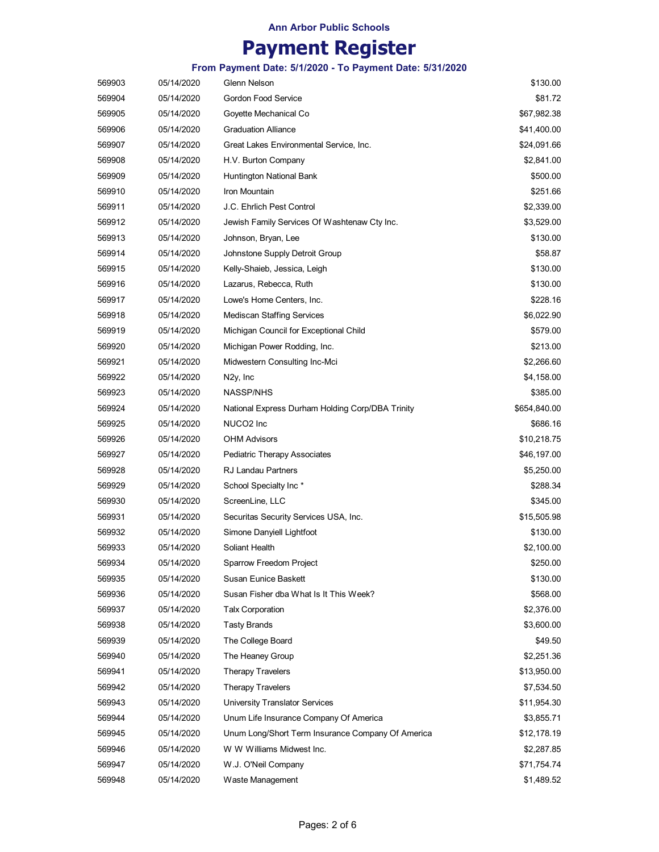## **Payment Register**

**From Payment Date: 5/1/2020 - To Payment Date: 5/31/2020**

| 569903 | 05/14/2020 | Glenn Nelson                                      | \$130.00     |
|--------|------------|---------------------------------------------------|--------------|
| 569904 | 05/14/2020 | Gordon Food Service                               | \$81.72      |
| 569905 | 05/14/2020 | Goyette Mechanical Co                             | \$67,982.38  |
| 569906 | 05/14/2020 | <b>Graduation Alliance</b>                        | \$41,400.00  |
| 569907 | 05/14/2020 | Great Lakes Environmental Service, Inc.           | \$24,091.66  |
| 569908 | 05/14/2020 | H.V. Burton Company                               | \$2,841.00   |
| 569909 | 05/14/2020 | Huntington National Bank                          | \$500.00     |
| 569910 | 05/14/2020 | Iron Mountain                                     | \$251.66     |
| 569911 | 05/14/2020 | J.C. Ehrlich Pest Control                         | \$2,339.00   |
| 569912 | 05/14/2020 | Jewish Family Services Of Washtenaw Cty Inc.      | \$3,529.00   |
| 569913 | 05/14/2020 | Johnson, Bryan, Lee                               | \$130.00     |
| 569914 | 05/14/2020 | Johnstone Supply Detroit Group                    | \$58.87      |
| 569915 | 05/14/2020 | Kelly-Shaieb, Jessica, Leigh                      | \$130.00     |
| 569916 | 05/14/2020 | Lazarus, Rebecca, Ruth                            | \$130.00     |
| 569917 | 05/14/2020 | Lowe's Home Centers, Inc.                         | \$228.16     |
| 569918 | 05/14/2020 | <b>Mediscan Staffing Services</b>                 | \$6,022.90   |
| 569919 | 05/14/2020 | Michigan Council for Exceptional Child            | \$579.00     |
| 569920 | 05/14/2020 | Michigan Power Rodding, Inc.                      | \$213.00     |
| 569921 | 05/14/2020 | Midwestern Consulting Inc-Mci                     | \$2,266.60   |
| 569922 | 05/14/2020 | N <sub>2y</sub> , Inc                             | \$4,158.00   |
| 569923 | 05/14/2020 | <b>NASSP/NHS</b>                                  | \$385.00     |
| 569924 | 05/14/2020 | National Express Durham Holding Corp/DBA Trinity  | \$654,840.00 |
| 569925 | 05/14/2020 | NUCO <sub>2</sub> Inc                             | \$686.16     |
| 569926 | 05/14/2020 | <b>OHM Advisors</b>                               | \$10,218.75  |
| 569927 | 05/14/2020 | Pediatric Therapy Associates                      | \$46,197.00  |
| 569928 | 05/14/2020 | <b>RJ Landau Partners</b>                         | \$5,250.00   |
| 569929 | 05/14/2020 | School Specialty Inc*                             | \$288.34     |
| 569930 | 05/14/2020 | ScreenLine, LLC                                   | \$345.00     |
| 569931 | 05/14/2020 | Securitas Security Services USA, Inc.             | \$15,505.98  |
| 569932 | 05/14/2020 | Simone Danyiell Lightfoot                         | \$130.00     |
| 569933 | 05/14/2020 | Soliant Health                                    | \$2,100.00   |
| 569934 | 05/14/2020 | Sparrow Freedom Project                           | \$250.00     |
| 569935 | 05/14/2020 | Susan Eunice Baskett                              | \$130.00     |
| 569936 | 05/14/2020 | Susan Fisher dba What Is It This Week?            | \$568.00     |
| 569937 | 05/14/2020 | <b>Talx Corporation</b>                           | \$2,376.00   |
| 569938 | 05/14/2020 | <b>Tasty Brands</b>                               | \$3,600.00   |
| 569939 | 05/14/2020 | The College Board                                 | \$49.50      |
| 569940 | 05/14/2020 | The Heaney Group                                  | \$2,251.36   |
| 569941 | 05/14/2020 | <b>Therapy Travelers</b>                          | \$13,950.00  |
| 569942 | 05/14/2020 | Therapy Travelers                                 | \$7,534.50   |
| 569943 | 05/14/2020 | University Translator Services                    | \$11,954.30  |
| 569944 | 05/14/2020 | Unum Life Insurance Company Of America            | \$3,855.71   |
| 569945 | 05/14/2020 | Unum Long/Short Term Insurance Company Of America | \$12,178.19  |
| 569946 | 05/14/2020 | W W Williams Midwest Inc.                         | \$2,287.85   |
| 569947 | 05/14/2020 | W.J. O'Neil Company                               | \$71,754.74  |
| 569948 | 05/14/2020 | Waste Management                                  | \$1,489.52   |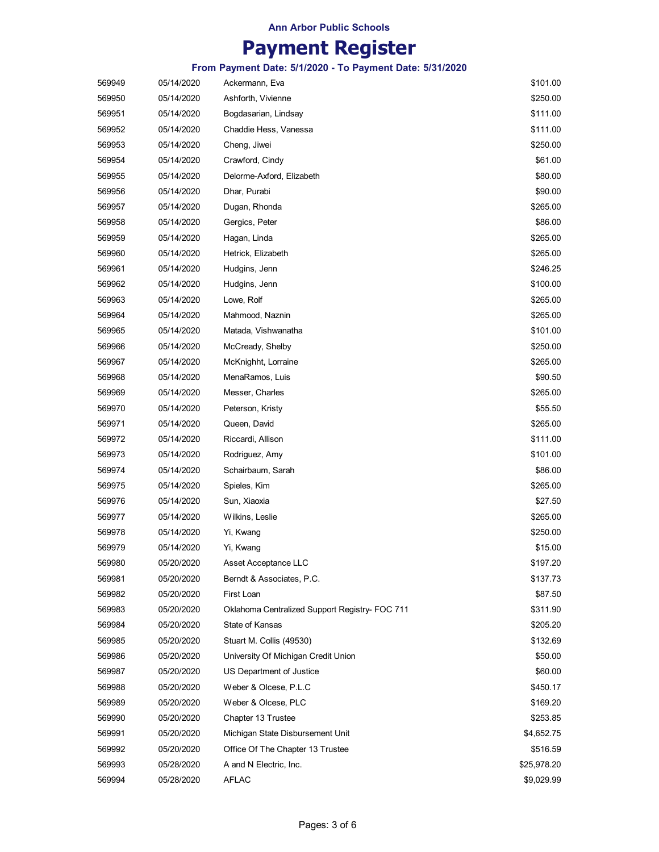## **Payment Register**

**From Payment Date: 5/1/2020 - To Payment Date: 5/31/2020**

| 569949 | 05/14/2020 | Ackermann, Eva                                 | \$101.00    |
|--------|------------|------------------------------------------------|-------------|
| 569950 | 05/14/2020 | Ashforth, Vivienne                             | \$250.00    |
| 569951 | 05/14/2020 | Bogdasarian, Lindsay                           | \$111.00    |
| 569952 | 05/14/2020 | Chaddie Hess, Vanessa                          | \$111.00    |
| 569953 | 05/14/2020 | Cheng, Jiwei                                   | \$250.00    |
| 569954 | 05/14/2020 | Crawford, Cindy                                | \$61.00     |
| 569955 | 05/14/2020 | Delorme-Axford, Elizabeth                      | \$80.00     |
| 569956 | 05/14/2020 | Dhar, Purabi                                   | \$90.00     |
| 569957 | 05/14/2020 | Dugan, Rhonda                                  | \$265.00    |
| 569958 | 05/14/2020 | Gergics, Peter                                 | \$86.00     |
| 569959 | 05/14/2020 | Hagan, Linda                                   | \$265.00    |
| 569960 | 05/14/2020 | Hetrick, Elizabeth                             | \$265.00    |
| 569961 | 05/14/2020 | Hudgins, Jenn                                  | \$246.25    |
| 569962 | 05/14/2020 | Hudgins, Jenn                                  | \$100.00    |
| 569963 | 05/14/2020 | Lowe, Rolf                                     | \$265.00    |
| 569964 | 05/14/2020 | Mahmood, Naznin                                | \$265.00    |
| 569965 | 05/14/2020 | Matada, Vishwanatha                            | \$101.00    |
| 569966 | 05/14/2020 | McCready, Shelby                               | \$250.00    |
| 569967 | 05/14/2020 | McKnighht, Lorraine                            | \$265.00    |
| 569968 | 05/14/2020 | MenaRamos, Luis                                | \$90.50     |
| 569969 | 05/14/2020 | Messer, Charles                                | \$265.00    |
| 569970 | 05/14/2020 | Peterson, Kristy                               | \$55.50     |
| 569971 | 05/14/2020 | Queen, David                                   | \$265.00    |
| 569972 | 05/14/2020 | Riccardi, Allison                              | \$111.00    |
| 569973 | 05/14/2020 | Rodriguez, Amy                                 | \$101.00    |
| 569974 | 05/14/2020 | Schairbaum, Sarah                              | \$86.00     |
| 569975 | 05/14/2020 | Spieles, Kim                                   | \$265.00    |
| 569976 | 05/14/2020 | Sun, Xiaoxia                                   | \$27.50     |
| 569977 | 05/14/2020 | Wilkins, Leslie                                | \$265.00    |
| 569978 | 05/14/2020 | Yi, Kwang                                      | \$250.00    |
| 569979 | 05/14/2020 | Yi, Kwang                                      | \$15.00     |
| 569980 | 05/20/2020 | Asset Acceptance LLC                           | \$197.20    |
| 569981 | 05/20/2020 | Berndt & Associates, P.C.                      | \$137.73    |
| 569982 | 05/20/2020 | First Loan                                     | \$87.50     |
| 569983 | 05/20/2020 | Oklahoma Centralized Support Registry- FOC 711 | \$311.90    |
| 569984 | 05/20/2020 | State of Kansas                                | \$205.20    |
| 569985 | 05/20/2020 | Stuart M. Collis (49530)                       | \$132.69    |
| 569986 | 05/20/2020 | University Of Michigan Credit Union            | \$50.00     |
| 569987 | 05/20/2020 | US Department of Justice                       | \$60.00     |
| 569988 | 05/20/2020 | Weber & Olcese, P.L.C                          | \$450.17    |
| 569989 | 05/20/2020 | Weber & Olcese, PLC                            | \$169.20    |
| 569990 | 05/20/2020 | Chapter 13 Trustee                             | \$253.85    |
| 569991 | 05/20/2020 | Michigan State Disbursement Unit               | \$4,652.75  |
| 569992 | 05/20/2020 | Office Of The Chapter 13 Trustee               | \$516.59    |
| 569993 | 05/28/2020 | A and N Electric, Inc.                         | \$25,978.20 |
| 569994 | 05/28/2020 | <b>AFLAC</b>                                   | \$9,029.99  |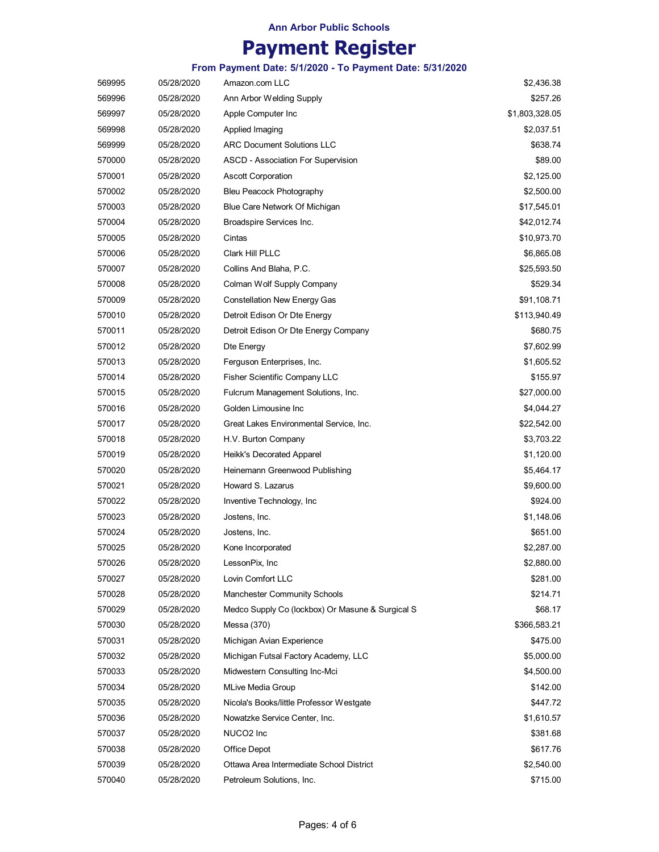## **Payment Register**

**From Payment Date: 5/1/2020 - To Payment Date: 5/31/2020**

| 569995 | 05/28/2020 | Amazon.com LLC                                   | \$2,436.38     |
|--------|------------|--------------------------------------------------|----------------|
| 569996 | 05/28/2020 | Ann Arbor Welding Supply                         | \$257.26       |
| 569997 | 05/28/2020 | Apple Computer Inc                               | \$1,803,328.05 |
| 569998 | 05/28/2020 | Applied Imaging                                  | \$2,037.51     |
| 569999 | 05/28/2020 | <b>ARC Document Solutions LLC</b>                | \$638.74       |
| 570000 | 05/28/2020 | ASCD - Association For Supervision               | \$89.00        |
| 570001 | 05/28/2020 | <b>Ascott Corporation</b>                        | \$2,125.00     |
| 570002 | 05/28/2020 | Bleu Peacock Photography                         | \$2,500.00     |
| 570003 | 05/28/2020 | Blue Care Network Of Michigan                    | \$17,545.01    |
| 570004 | 05/28/2020 | Broadspire Services Inc.                         | \$42,012.74    |
| 570005 | 05/28/2020 | Cintas                                           | \$10,973.70    |
| 570006 | 05/28/2020 | Clark Hill PLLC                                  | \$6,865.08     |
| 570007 | 05/28/2020 | Collins And Blaha, P.C.                          | \$25,593.50    |
| 570008 | 05/28/2020 | Colman Wolf Supply Company                       | \$529.34       |
| 570009 | 05/28/2020 | <b>Constellation New Energy Gas</b>              | \$91,108.71    |
| 570010 | 05/28/2020 | Detroit Edison Or Dte Energy                     | \$113,940.49   |
| 570011 | 05/28/2020 | Detroit Edison Or Dte Energy Company             | \$680.75       |
| 570012 | 05/28/2020 | Dte Energy                                       | \$7,602.99     |
| 570013 | 05/28/2020 | Ferguson Enterprises, Inc.                       | \$1,605.52     |
| 570014 | 05/28/2020 | Fisher Scientific Company LLC                    | \$155.97       |
| 570015 | 05/28/2020 | Fulcrum Management Solutions, Inc.               | \$27,000.00    |
| 570016 | 05/28/2020 | Golden Limousine Inc                             | \$4,044.27     |
| 570017 | 05/28/2020 | Great Lakes Environmental Service, Inc.          | \$22,542.00    |
| 570018 | 05/28/2020 | H.V. Burton Company                              | \$3,703.22     |
| 570019 | 05/28/2020 | Heikk's Decorated Apparel                        | \$1,120.00     |
| 570020 | 05/28/2020 | Heinemann Greenwood Publishing                   | \$5,464.17     |
| 570021 | 05/28/2020 | Howard S. Lazarus                                | \$9,600.00     |
| 570022 | 05/28/2020 | Inventive Technology, Inc                        | \$924.00       |
| 570023 | 05/28/2020 | Jostens, Inc.                                    | \$1,148.06     |
| 570024 | 05/28/2020 | Jostens, Inc.                                    | \$651.00       |
| 570025 | 05/28/2020 | Kone Incorporated                                | \$2,287.00     |
| 570026 | 05/28/2020 | LessonPix, Inc                                   | \$2,880.00     |
| 570027 | 05/28/2020 | Lovin Comfort LLC                                | \$281.00       |
| 570028 | 05/28/2020 | Manchester Community Schools                     | \$214.71       |
| 570029 | 05/28/2020 | Medco Supply Co (lockbox) Or Masune & Surgical S | \$68.17        |
| 570030 | 05/28/2020 | Messa (370)                                      | \$366,583.21   |
| 570031 | 05/28/2020 | Michigan Avian Experience                        | \$475.00       |
| 570032 | 05/28/2020 | Michigan Futsal Factory Academy, LLC             | \$5,000.00     |
| 570033 | 05/28/2020 | Midwestern Consulting Inc-Mci                    | \$4,500.00     |
| 570034 | 05/28/2020 | <b>MLive Media Group</b>                         | \$142.00       |
| 570035 | 05/28/2020 | Nicola's Books/little Professor Westgate         | \$447.72       |
| 570036 | 05/28/2020 | Nowatzke Service Center, Inc.                    | \$1,610.57     |
| 570037 | 05/28/2020 | NUCO <sub>2</sub> Inc                            | \$381.68       |
| 570038 | 05/28/2020 | Office Depot                                     | \$617.76       |
| 570039 | 05/28/2020 | Ottawa Area Intermediate School District         | \$2,540.00     |
| 570040 | 05/28/2020 | Petroleum Solutions, Inc.                        | \$715.00       |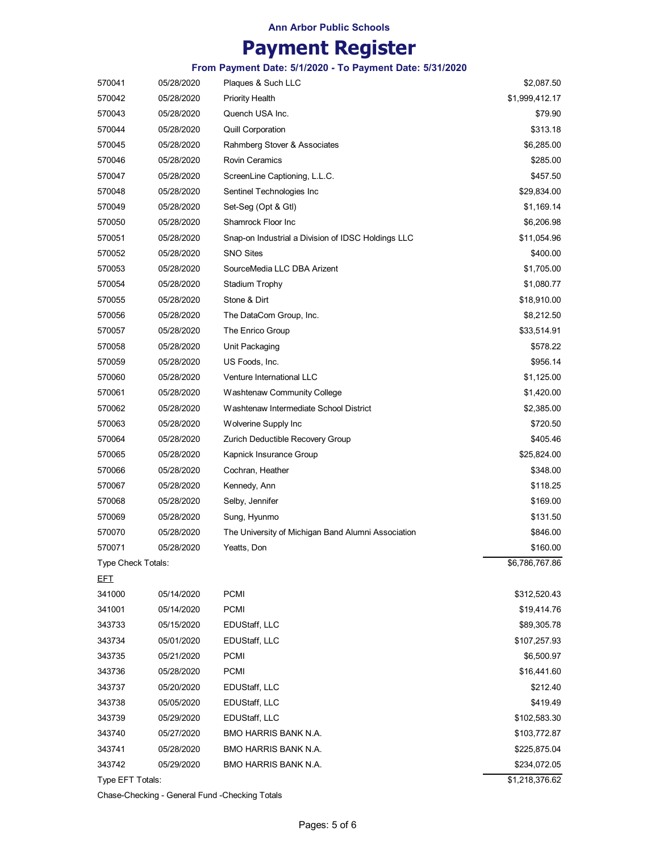### **Payment Register**

**From Payment Date: 5/1/2020 - To Payment Date: 5/31/2020**

| 570041             | 05/28/2020 | Plaques & Such LLC                                 | \$2,087.50                 |
|--------------------|------------|----------------------------------------------------|----------------------------|
| 570042             | 05/28/2020 | <b>Priority Health</b>                             | \$1,999,412.17             |
| 570043             | 05/28/2020 | Quench USA Inc.                                    | \$79.90                    |
| 570044             | 05/28/2020 | <b>Quill Corporation</b>                           | \$313.18                   |
| 570045             | 05/28/2020 | Rahmberg Stover & Associates                       | \$6,285.00                 |
| 570046             | 05/28/2020 | <b>Rovin Ceramics</b>                              | \$285.00                   |
| 570047             | 05/28/2020 | ScreenLine Captioning, L.L.C.                      | \$457.50                   |
| 570048             | 05/28/2020 | Sentinel Technologies Inc                          | \$29,834.00                |
| 570049             | 05/28/2020 | Set-Seg (Opt & Gtl)                                | \$1,169.14                 |
| 570050             | 05/28/2020 | Shamrock Floor Inc                                 | \$6,206.98                 |
| 570051             | 05/28/2020 | Snap-on Industrial a Division of IDSC Holdings LLC | \$11,054.96                |
| 570052             | 05/28/2020 | <b>SNO Sites</b>                                   | \$400.00                   |
| 570053             | 05/28/2020 | SourceMedia LLC DBA Arizent                        | \$1,705.00                 |
| 570054             | 05/28/2020 | Stadium Trophy                                     | \$1,080.77                 |
| 570055             | 05/28/2020 | Stone & Dirt                                       | \$18,910.00                |
| 570056             | 05/28/2020 | The DataCom Group, Inc.                            | \$8,212.50                 |
| 570057             | 05/28/2020 | The Enrico Group                                   | \$33,514.91                |
| 570058             | 05/28/2020 | Unit Packaging                                     | \$578.22                   |
| 570059             | 05/28/2020 | US Foods, Inc.                                     | \$956.14                   |
| 570060             | 05/28/2020 | Venture International LLC                          | \$1,125.00                 |
| 570061             | 05/28/2020 | Washtenaw Community College                        | \$1,420.00                 |
| 570062             | 05/28/2020 | Washtenaw Intermediate School District             | \$2,385.00                 |
| 570063             | 05/28/2020 | Wolverine Supply Inc                               | \$720.50                   |
| 570064             | 05/28/2020 | Zurich Deductible Recovery Group                   | \$405.46                   |
| 570065             | 05/28/2020 | Kapnick Insurance Group                            | \$25,824.00                |
| 570066             | 05/28/2020 | Cochran, Heather                                   | \$348.00                   |
| 570067             | 05/28/2020 | Kennedy, Ann                                       | \$118.25                   |
| 570068             | 05/28/2020 | Selby, Jennifer                                    | \$169.00                   |
| 570069             | 05/28/2020 | Sung, Hyunmo                                       | \$131.50                   |
| 570070             | 05/28/2020 | The University of Michigan Band Alumni Association | \$846.00                   |
| 570071             | 05/28/2020 | Yeatts, Don                                        | \$160.00                   |
| Type Check Totals: |            |                                                    | \$6,786,767.86             |
| <u>EFT</u>         |            |                                                    |                            |
| 341000             | 05/14/2020 | <b>PCMI</b>                                        | \$312,520.43               |
| 341001             | 05/14/2020 | <b>PCMI</b>                                        | \$19,414.76                |
| 343733             | 05/15/2020 | EDUStaff, LLC                                      | \$89,305.78                |
| 343734             | 05/01/2020 | EDUStaff, LLC                                      | \$107,257.93               |
| 343735             | 05/21/2020 | <b>PCMI</b>                                        | \$6,500.97                 |
| 343736             | 05/28/2020 | <b>PCMI</b>                                        | \$16,441.60                |
| 343737             | 05/20/2020 | EDUStaff, LLC                                      | \$212.40                   |
| 343738             | 05/05/2020 | EDUStaff, LLC                                      | \$419.49                   |
| 343739             | 05/29/2020 | EDUStaff, LLC                                      | \$102,583.30               |
| 343740             | 05/27/2020 | BMO HARRIS BANK N.A.                               | \$103,772.87               |
| 343741             | 05/28/2020 | <b>BMO HARRIS BANK N.A.</b>                        | \$225,875.04               |
| 343742             | 05/29/2020 | BMO HARRIS BANK N.A.                               | \$234,072.05               |
| Type EFT Totals:   |            |                                                    | $\overline{$1,218,376.62}$ |
|                    |            |                                                    |                            |

Chase-Checking - General Fund -Checking Totals